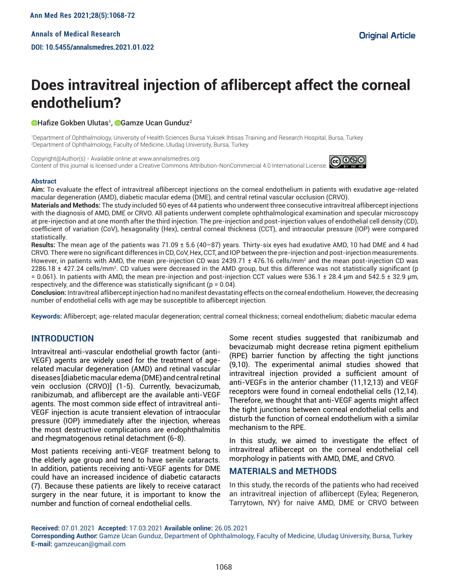# **Does intravitreal injection of aflibercept affect the corneal endothelium?**

### Hafize Gokben Ulutas<sup>1</sup>, **©**Gamze Ucan Gunduz<sup>2</sup>

1 Department of Ophthalmology, University of Health Sciences Bursa Yuksek Ihtisas Training and Research Hospital, Bursa, Turkey 2 Department of Ophthalmology, Faculty of Medicine, Uludag University, Bursa, Turkey

Copyright@Author(s) - Available online at www.annalsmedres.org Content of this journal is licensed under a Creative Commons Attribution-NonCommercial 4.0 International License.



#### **Abstract**

**Aim:** To evaluate the effect of intravitreal aflibercept injections on the corneal endothelium in patients with exudative age-related macular degeneration (AMD), diabetic macular edema (DME), and central retinal vascular occlusion (CRVO).

**Materials and Methods:** The study included 50 eyes of 44 patients who underwent three consecutive intravitreal aflibercept injections with the diagnosis of AMD, DME or CRVO. All patients underwent complete ophthalmological examination and specular microscopy at pre-injection and at one month after the third injection. The pre-injection and post-injection values of endothelial cell density (CD), coefficient of variation (CoV), hexagonality (Hex), central corneal thickness (CCT), and intraocular pressure (IOP) were compared statistically.

**Results:** The mean age of the patients was 71.09 ± 5.6 (40–87) years. Thirty-six eyes had exudative AMD, 10 had DME and 4 had CRVO. There were no significant differences in CD, CoV, Hex, CCT, and IOP between the pre-injection and post-injection measurements. However, in patients with AMD, the mean pre-injection CD was 2439.71 ± 476.16 cells/mm² and the mean post-injection CD was 2286.18 ± 427.24 cells/mm<sup>2</sup> . CD values were decreased in the AMD group, but this difference was not statistically significant (p  $= 0.061$ ). In patients with AMD, the mean pre-injection and post-injection CCT values were 536.1  $\pm$  28.4 µm and 542.5  $\pm$  32.9 µm, respectively, and the difference was statistically significant ( $p = 0.04$ ).

**Conclusion:** Intravitreal aflibercept injection had no manifest devastating effects on the corneal endothelium. However, the decreasing number of endothelial cells with age may be susceptible to aflibercept injection.

**Keywords:** Aflibercept; age-related macular degeneration; central corneal thickness; corneal endothelium; diabetic macular edema

# **INTRODUCTION**

Intravitreal anti-vascular endothelial growth factor (anti-VEGF) agents are widely used for the treatment of agerelated macular degeneration (AMD) and retinal vascular diseases [diabetic macular edema (DME) and central retinal vein occlusion (CRVO)] (1-5). Currently, bevacizumab, ranibizumab, and aflibercept are the available anti-VEGF agents. The most common side effect of intravitreal anti-VEGF injection is acute transient elevation of intraocular pressure (IOP) immediately after the injection, whereas the most destructive complications are endophthalmitis and rhegmatogenous retinal detachment (6-8).

Most patients receiving anti-VEGF treatment belong to the elderly age group and tend to have senile cataracts. In addition, patients receiving anti-VEGF agents for DME could have an increased incidence of diabetic cataracts (7). Because these patients are likely to receive cataract surgery in the near future, it is important to know the number and function of corneal endothelial cells.

Some recent studies suggested that ranibizumab and bevacizumab might decrease retina pigment epithelium (RPE) barrier function by affecting the tight junctions (9,10). The experimental animal studies showed that intravitreal injection provided a sufficient amount of anti-VEGFs in the anterior chamber (11,12,13) and VEGF receptors were found in corneal endothelial cells (12,14). Therefore, we thought that anti-VEGF agents might affect the tight junctions between corneal endothelial cells and disturb the function of corneal endothelium with a similar mechanism to the RPE.

In this study, we aimed to investigate the effect of intravitreal aflibercept on the corneal endothelial cell morphology in patients with AMD, DME, and CRVO.

## **MATERIALS and METHODS**

In this study, the records of the patients who had received an intravitreal injection of aflibercept (Eylea; Regeneron, Tarrytown, NY) for naive AMD, DME or CRVO between

**Received:** 07.01.2021 **Accepted:** 17.03.2021 **Available online:** 26.05.2021

**Corresponding Author:** Gamze Ucan Gunduz, Department of Ophthalmology, Faculty of Medicine, Uludag University, Bursa, Turkey **E-mail:** gamzeucan@gmail.com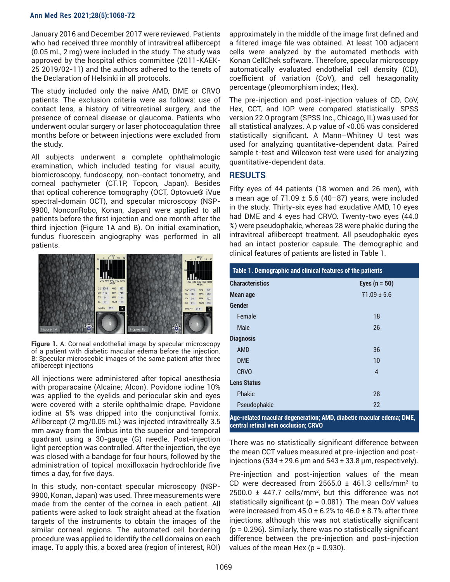#### **Ann Med Res 2021;28(5):1068-72**

January 2016 and December 2017 were reviewed. Patients who had received three monthly of intravitreal aflibercept (0.05 mL, 2 mg) were included in the study. The study was approved by the hospital ethics committee (2011-KAEK-25 2019/02-11) and the authors adhered to the tenets of the Declaration of Helsinki in all protocols.

The study included only the naive AMD, DME or CRVO patients. The exclusion criteria were as follows: use of contact lens, a history of vitreoretinal surgery, and the presence of corneal disease or glaucoma. Patients who underwent ocular surgery or laser photocoagulation three months before or between injections were excluded from the study.

All subjects underwent a complete ophthalmologic examination, which included testing for visual acuity, biomicroscopy, fundoscopy, non-contact tonometry, and corneal pachymeter (CT.1P, Topcon, Japan). Besides that optical coherence tomography (OCT, Optovue® iVue spectral-domain OCT), and specular microscopy (NSP-9900, NonconRobo, Konan, Japan) were applied to all patients before the first injection and one month after the third injection (Figure 1A and B). On initial examination, fundus fluorescein angiography was performed in all patients.



**Figure 1.** A: Corneal endothelial image by specular microscopy of a patient with diabetic macular edema before the injection. B: Specular microscobic images of the same patient after three aflibercept injections

All injections were administered after topical anesthesia with proparacaine (Alcaine; Alcon). Povidone iodine 10% was applied to the eyelids and periocular skin and eyes were covered with a sterile ophthalmic drape. Povidone iodine at 5% was dripped into the conjunctival fornix. Aflibercept (2 mg/0.05 mL) was injected intravitreally 3.5 mm away from the limbus into the superior and temporal quadrant using a 30-gauge (G) needle. Post-injection light perception was controlled. After the injection, the eye was closed with a bandage for four hours, followed by the administration of topical moxifloxacin hydrochloride five times a day, for five days.

In this study, non-contact specular microscopy (NSP-9900, Konan, Japan) was used. Three measurements were made from the center of the cornea in each patient. All patients were asked to look straight ahead at the fixation targets of the instruments to obtain the images of the similar corneal regions. The automated cell bordering procedure was applied to identify the cell domains on each image. To apply this, a boxed area (region of interest, ROI)

approximately in the middle of the image first defined and a filtered image file was obtained. At least 100 adjacent cells were analyzed by the automated methods with Konan CellChek software. Therefore, specular microscopy automatically evaluated endothelial cell density (CD), coefficient of variation (CoV), and cell hexagonality percentage (pleomorphism index; Hex).

The pre-injection and post-injection values of CD, CoV, Hex, CCT, and IOP were compared statistically. SPSS version 22.0 program (SPSS Inc., Chicago, IL) was used for all statistical analyzes. A p value of <0.05 was considered statistically significant. A Mann–Whitney U test was used for analyzing quantitative-dependent data. Paired sample t-test and Wilcoxon test were used for analyzing quantitative-dependent data.

# **RESULTS**

Fifty eyes of 44 patients (18 women and 26 men), with a mean age of  $71.09 \pm 5.6$  (40-87) years, were included in the study. Thirty-six eyes had exudative AMD, 10 eyes had DME and 4 eyes had CRVO. Twenty-two eyes (44.0 %) were pseudophakic, whereas 28 were phakic during the intravitreal aflibercept treatment. All pseudophakic eyes had an intact posterior capsule. The demographic and clinical features of patients are listed in Table 1.

| Table 1. Demographic and clinical features of the patients           |                 |  |  |
|----------------------------------------------------------------------|-----------------|--|--|
| <b>Characteristics</b>                                               | Eyes $(n = 50)$ |  |  |
| Mean age                                                             | $71.09 \pm 5.6$ |  |  |
| Gender                                                               |                 |  |  |
| Female                                                               | 18              |  |  |
| Male                                                                 | 26              |  |  |
| <b>Diagnosis</b>                                                     |                 |  |  |
| <b>AMD</b>                                                           | 36              |  |  |
| <b>DME</b>                                                           | 10              |  |  |
| <b>CRVO</b>                                                          | $\overline{4}$  |  |  |
| <b>Lens Status</b>                                                   |                 |  |  |
| <b>Phakic</b>                                                        | 28              |  |  |
| Pseudophakic                                                         | 22              |  |  |
| Ana, ralated meeting demonstration: AMD, disbetie meether edemo: DME |                 |  |  |

**Age-related macular degeneration; AMD, diabetic macular edema; DME, central retinal vein occlusion; CRVO**

There was no statistically significant difference between the mean CCT values measured at pre-injection and postinjections (534  $\pm$  29.6 µm and 543  $\pm$  33.8 µm, respectively).

Pre-injection and post-injection values of the mean CD were decreased from  $2565.0 \pm 461.3$  cells/mm<sup>2</sup> to  $2500.0 \pm 447.7$  cells/mm<sup>2</sup>, but this difference was not statistically significant ( $p = 0.081$ ). The mean CoV values were increased from  $45.0 \pm 6.2$ % to  $46.0 \pm 8.7$ % after three injections, although this was not statistically significant (p = 0.296). Similarly, there was no statistically significant difference between the pre-injection and post-injection values of the mean Hex ( $p = 0.930$ ).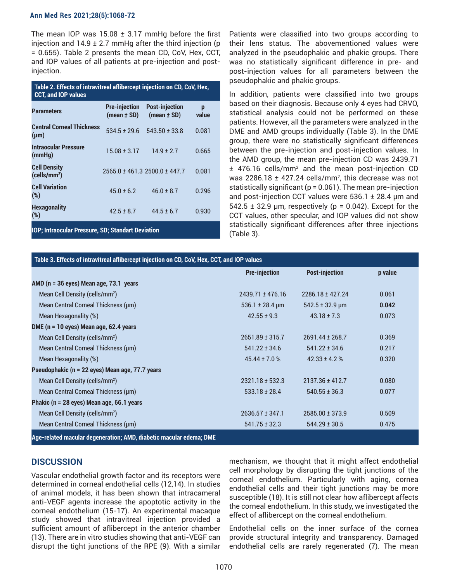#### **Ann Med Res 2021;28(5):1068-72**

The mean IOP was  $15.08 \pm 3.17$  mmHg before the first injection and  $14.9 \pm 2.7$  mmHg after the third injection (p = 0.655). Table 2 presents the mean CD, CoV, Hex, CCT, and IOP values of all patients at pre-injection and postinjection.

| Table 2. Effects of intravitreal aflibercept injection on CD, CoV, Hex,<br><b>CCT, and IOP values</b> |                                         |                                          |            |  |  |
|-------------------------------------------------------------------------------------------------------|-----------------------------------------|------------------------------------------|------------|--|--|
| <b>Parameters</b>                                                                                     | <b>Pre-injection</b><br>$(mean \pm SD)$ | <b>Post-injection</b><br>$(mean \pm SD)$ | p<br>value |  |  |
| <b>Central Corneal Thickness</b><br>$(\mu m)$                                                         | $534.5 + 29.6$                          | $543.50 \pm 33.8$                        | 0.081      |  |  |
| <b>Intraocular Pressure</b><br>(mmHg)                                                                 | $15.08 \pm 3.17$                        | $149 + 27$                               | 0.665      |  |  |
| <b>Cell Density</b><br>(cells/mm <sup>2</sup> )                                                       |                                         | 2565.0 ± 461.3 2500.0 ± 447.7            | 0.081      |  |  |
| <b>Cell Variation</b><br>(%)                                                                          | $45.0 + 6.2$                            | $46.0 + 8.7$                             | 0.296      |  |  |
| <b>Hexagonality</b><br>(%)                                                                            | $42.5 \pm 8.7$                          | $44.5 \pm 6.7$                           | 0.930      |  |  |
| IOP; Intraocular Pressure, SD; Standart Deviation                                                     |                                         |                                          |            |  |  |

Patients were classified into two groups according to their lens status. The abovementioned values were analyzed in the pseudophakic and phakic groups. There was no statistically significant difference in pre- and post-injection values for all parameters between the pseudophakic and phakic groups.

In addition, patients were classified into two groups based on their diagnosis. Because only 4 eyes had CRVO, statistical analysis could not be performed on these patients. However, all the parameters were analyzed in the DME and AMD groups individually (Table 3). In the DME group, there were no statistically significant differences between the pre-injection and post-injection values. In the AMD group, the mean pre-injection CD was 2439.71  $\pm$  476.16 cells/mm<sup>2</sup> and the mean post-injection CD was 2286.18  $\pm$  427.24 cells/mm<sup>2</sup>, this decrease was not statistically significant ( $p = 0.061$ ). The mean pre-injection and post-injection CCT values were 536.1 ± 28.4 µm and  $542.5 \pm 32.9$  µm, respectively (p = 0.042). Except for the CCT values, other specular, and IOP values did not show statistically significant differences after three injections (Table 3).

| Table 3. Effects of intravitreal aflibercept injection on CD, CoV, Hex, CCT, and IOP values |                                 |                          |         |  |  |
|---------------------------------------------------------------------------------------------|---------------------------------|--------------------------|---------|--|--|
|                                                                                             | <b>Pre-injection</b>            | <b>Post-injection</b>    | p value |  |  |
| AMD ( $n = 36$ eyes) Mean age, $73.1$ years                                                 |                                 |                          |         |  |  |
| Mean Cell Density (cells/mm <sup>2</sup> )                                                  | $2439.71 \pm 476.16$            | $2286.18 \pm 427.24$     | 0.061   |  |  |
| Mean Central Corneal Thickness (µm)                                                         | $536.1 \pm 28.4 \,\text{\mu m}$ | $542.5 \pm 32.9 \,\mu m$ | 0.042   |  |  |
| Mean Hexagonality (%)                                                                       | $42.55 \pm 9.3$                 | $43.18 \pm 7.3$          | 0.073   |  |  |
| DME ( $n = 10$ eyes) Mean age, 62.4 years                                                   |                                 |                          |         |  |  |
| Mean Cell Density (cells/mm <sup>2</sup> )                                                  | $2651.89 \pm 315.7$             | 2691.44 ± 268.7          | 0.369   |  |  |
| Mean Central Corneal Thickness (µm)                                                         | $541.22 \pm 34.6$               | $541.22 \pm 34.6$        | 0.217   |  |  |
| Mean Hexagonality (%)                                                                       | 45.44 ± 7.0 $%$                 | $42.33 \pm 4.2$ %        | 0.320   |  |  |
| Pseudophakic (n = 22 eyes) Mean age, 77.7 years                                             |                                 |                          |         |  |  |
| Mean Cell Density (cells/mm <sup>2</sup> )                                                  | $2321.18 \pm 532.3$             | $2137.36 \pm 412.7$      | 0.080   |  |  |
| Mean Central Corneal Thickness (µm)                                                         | $533.18 \pm 28.4$               | $540.55 \pm 36.3$        | 0.077   |  |  |
| Phakic (n = 28 eyes) Mean age, 66.1 years                                                   |                                 |                          |         |  |  |
| Mean Cell Density (cells/mm <sup>2</sup> )                                                  | $2636.57 \pm 347.1$             | $2585.00 \pm 373.9$      | 0.509   |  |  |
| Mean Central Corneal Thickness (µm)                                                         | $541.75 \pm 32.3$               | $544.29 \pm 30.5$        | 0.475   |  |  |
| Age-related macular degeneration; AMD, diabetic macular edema; DME                          |                                 |                          |         |  |  |

# **DISCUSSION**

Vascular endothelial growth factor and its receptors were determined in corneal endothelial cells (12,14). In studies of animal models, it has been shown that intracameral anti-VEGF agents increase the apoptotic activity in the corneal endothelium (15-17). An experimental macaque study showed that intravitreal injection provided a sufficient amount of aflibercept in the anterior chamber (13). There are in vitro studies showing that anti-VEGF can disrupt the tight junctions of the RPE (9). With a similar

mechanism, we thought that it might affect endothelial cell morphology by disrupting the tight junctions of the corneal endothelium. Particularly with aging, cornea endothelial cells and their tight junctions may be more susceptible (18). It is still not clear how aflibercept affects the corneal endothelium. In this study, we investigated the effect of aflibercept on the corneal endothelium.

Endothelial cells on the inner surface of the cornea provide structural integrity and transparency. Damaged endothelial cells are rarely regenerated (7). The mean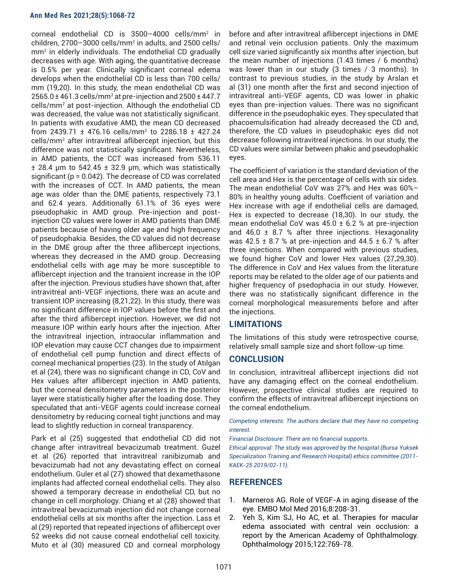#### **Ann Med Res 2021;28(5):1068-72**

corneal endothelial CD is 3500–4000 cells/mm<sup>2</sup> in  $children$ , 2700–3000  $\text{cells/mm}^2$  in adults, and 2500  $\text{cells}/$ mm2 in elderly individuals. The endothelial CD gradually decreases with age. With aging, the quantitative decrease is 0.5% per year. Clinically significant corneal edema develops when the endothelial CD is less than 700 cells/ mm (19,20). In this study, the mean endothelial CD was 2565.0 ± 461.3 cells/mm<sup>2</sup> at pre-injection and 2500 ± 447.7 cells/mm<sup>2</sup> at post-injection. Although the endothelial CD was decreased, the value was not statistically significant. In patients with exudative AMD, the mean CD decreased from 2439.71 ± 476.16 cells/mm<sup>2</sup> to 2286.18 ± 427.24 cells/mm<sup>2</sup> after intravitreal aflibercept injection, but this difference was not statistically significant. Nevertheless, in AMD patients, the CCT was increased from 536.11  $\pm$  28.4 µm to 542.45  $\pm$  32.9 µm, which was statistically significant (p = 0.042). The decrease of CD was correlated with the increases of CCT. In AMD patients, the mean age was older than the DME patients, respectively 73.1 and 62.4 years. Additionally 61.1% of 36 eyes were pseudophakic in AMD group. Pre-injection and postinjection CD values were lower in AMD patients than DME patients because of having older age and high frequency of pseudophakia. Besides, the CD values did not decrease in the DME group after the three aflibercept injections, whereas they decreased in the AMD group. Decreasing endothelial cells with age may be more susceptible to aflibercept injection and the transient increase in the IOP after the injection. Previous studies have shown that, after intravitreal anti-VEGF injections, there was an acute and transient IOP increasing (8,21,22). In this study, there was no significant difference in IOP values before the first and after the third aflibercept injection. However, we did not measure IOP within early hours after the injection. After the intravitreal injection, intraocular inflammation and IOP elevation may cause CCT changes due to impairment of endothelial cell pump function and direct effects of corneal mechanical properties (23). In the study of Atılgan et al (24), there was no significant change in CD, CoV and Hex values after aflibercept injection in AMD patients, but the corneal densitometry parameters in the posterior layer were statistically higher after the loading dose. They speculated that anti-VEGF agents could increase corneal densitometry by reducing corneal tight junctions and may lead to slightly reduction in corneal transparency.

Park et al (25) suggested that endothelial CD did not change after intravitreal bevacizumab treatment. Guzel et al (26) reported that intravitreal ranibizumab and bevacizumab had not any devastating effect on corneal endothelium. Guler et al (27) showed that dexamethasone implants had affected corneal endothelial cells. They also showed a temporary decrease in endothelial CD, but no change in cell morphology. Chiang et al (28) showed that intravitreal bevacizumab injection did not change corneal endothelial cells at six months after the injection. Lass et al (29) reported that repeated injections of aflibercept over 52 weeks did not cause corneal endothelial cell toxicity. Muto et al (30) measured CD and corneal morphology

before and after intravitreal aflibercept injections in DME and retinal vein occlusion patients. Only the maximum cell size varied significantly six months after injection, but the mean number of injections (1.43 times / 6 months) was lower than in our study (3 times / 3 months). In contrast to previous studies, in the study by Arslan et al (31) one month after the first and second injection of intravitreal anti-VEGF agents, CD was lower in phakic eyes than pre-injection values. There was no significant difference in the pseudophakic eyes. They speculated that phacoemulsification had already decreased the CD and, therefore, the CD values in pseudophakic eyes did not decrease following intravitreal injections. In our study, the CD values were similar between phakic and pseudophakic eyes.

The coefficient of variation is the standard deviation of the cell area and Hex is the percentage of cells with six sides. The mean endothelial CoV was 27% and Hex was 60%– 80% in healthy young adults. Coefficient of variation and Hex increase with age if endothelial cells are damaged, Hex is expected to decrease (18,30). In our study, the mean endothelial CoV was  $45.0 \pm 6.2$  % at pre-injection and 46.0  $\pm$  8.7 % after three injections. Hexagonality was 42.5  $\pm$  8.7 % at pre-injection and 44.5  $\pm$  6.7 % after three injections. When compared with previous studies, we found higher CoV and lower Hex values (27,29,30). The difference in CoV and Hex values from the literature reports may be related to the older age of our patients and higher frequency of psedophacia in our study. However, there was no statistically significant difference in the corneal morphological measurements before and after the injections.

# **LIMITATIONS**

The limitations of this study were retrospective course, relatively small sample size and short follow-up time.

## **CONCLUSION**

In conclusion, intravitreal aflibercept injections did not have any damaging effect on the corneal endothelium. However, prospective clinical studies are required to confirm the effects of intravitreal aflibercept injections on the corneal endothelium.

*Competing interests: The authors declare that they have no competing interest.*

*Financial Disclosure: There are no financial supports.*

*Ethical approval: The study was approved by the hospital (Bursa Yuksek Specialization Training and Research Hospital) ethics committee (2011- KAEK-25 2019/02-11).*

# **REFERENCES**

- 1. Marneros AG. Role of VEGF-A in aging disease of the eye. EMBO Mol Med 2016;8:208-31.
- 2. Yeh S, Kim SJ, Ho AC, et al. Therapies for macular edema associated with central vein occlusion: a report by the American Academy of Ophthalmology. Ophthalmology 2015;122:769-78.